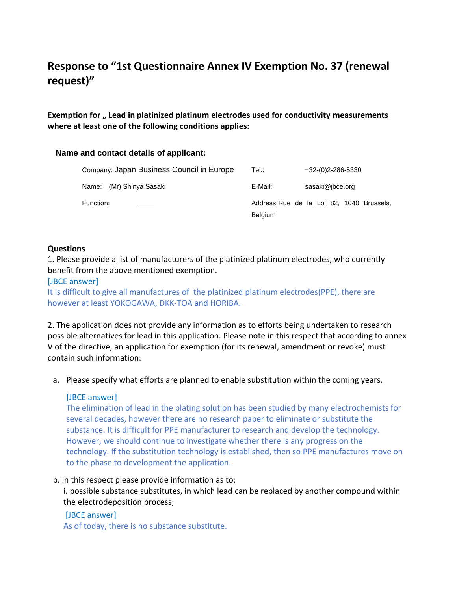# **Response to "1st Questionnaire Annex IV Exemption No. 37 (renewal request)"**

**Exemption for " Lead in platinized platinum electrodes used for conductivity measurements where at least one of the following conditions applies:** 

## **Name and contact details of applicant:**

| Company: Japan Business Council in Europe | Tel.:          | +32-(0)2-286-5330                         |
|-------------------------------------------|----------------|-------------------------------------------|
| Name: (Mr) Shinya Sasaki                  | E-Mail:        | sasaki@jbce.org                           |
| Function:                                 |                | Address: Rue de la Loi 82, 1040 Brussels, |
|                                           | <b>Belgium</b> |                                           |

#### **Questions**

1. Please provide a list of manufacturers of the platinized platinum electrodes, who currently benefit from the above mentioned exemption.

## [JBCE answer]

It is difficult to give all manufactures of the platinized platinum electrodes(PPE), there are however at least YOKOGAWA, DKK-TOA and HORIBA.

2. The application does not provide any information as to efforts being undertaken to research possible alternatives for lead in this application. Please note in this respect that according to annex V of the directive, an application for exemption (for its renewal, amendment or revoke) must contain such information:

a. Please specify what efforts are planned to enable substitution within the coming years.

## [JBCE answer]

The elimination of lead in the plating solution has been studied by many electrochemists for several decades, however there are no research paper to eliminate or substitute the substance. It is difficult for PPE manufacturer to research and develop the technology. However, we should continue to investigate whether there is any progress on the technology. If the substitution technology is established, then so PPE manufactures move on to the phase to development the application.

## b. In this respect please provide information as to:

i. possible substance substitutes, in which lead can be replaced by another compound within the electrodeposition process;

## [JBCE answer]

As of today, there is no substance substitute.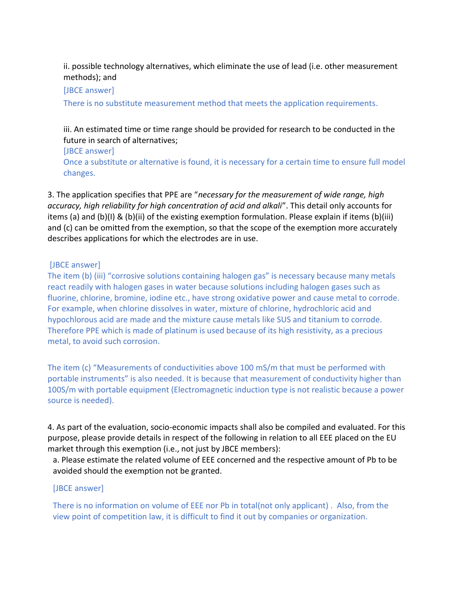ii. possible technology alternatives, which eliminate the use of lead (i.e. other measurement methods); and

[JBCE answer]

There is no substitute measurement method that meets the application requirements.

iii. An estimated time or time range should be provided for research to be conducted in the future in search of alternatives;

[JBCE answer]

Once a substitute or alternative is found, it is necessary for a certain time to ensure full model changes.

3. The application specifies that PPE are "*necessary for the measurement of wide range, high accuracy, high reliability for high concentration of acid and alkali*". This detail only accounts for items (a) and (b)(I) & (b)(ii) of the existing exemption formulation. Please explain if items (b)(iii) and (c) can be omitted from the exemption, so that the scope of the exemption more accurately describes applications for which the electrodes are in use.

## [JBCE answer]

The item (b) (iii) "corrosive solutions containing halogen gas" is necessary because many metals react readily with halogen gases in water because solutions including halogen gases such as fluorine, chlorine, bromine, iodine etc., have strong oxidative power and cause metal to corrode. For example, when chlorine dissolves in water, mixture of chlorine, hydrochloric acid and hypochlorous acid are made and the mixture cause metals like SUS and titanium to corrode. Therefore PPE which is made of platinum is used because of its high resistivity, as a precious metal, to avoid such corrosion.

The item (c) "Measurements of conductivities above 100 mS/m that must be performed with portable instruments" is also needed. It is because that measurement of conductivity higher than 100S/m with portable equipment (Electromagnetic induction type is not realistic because a power source is needed).

4. As part of the evaluation, socio-economic impacts shall also be compiled and evaluated. For this purpose, please provide details in respect of the following in relation to all EEE placed on the EU market through this exemption (i.e., not just by JBCE members):

a. Please estimate the related volume of EEE concerned and the respective amount of Pb to be avoided should the exemption not be granted.

## [JBCE answer]

There is no information on volume of EEE nor Pb in total(not only applicant) . Also, from the view point of competition law, it is difficult to find it out by companies or organization.